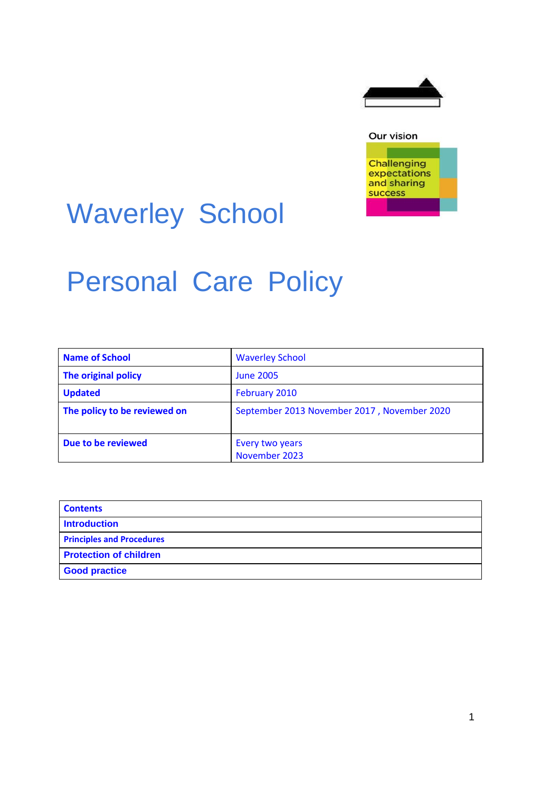



## Waverley School

## Personal Care Policy

| <b>Name of School</b>        | <b>Waverley School</b>                      |
|------------------------------|---------------------------------------------|
| The original policy          | <b>June 2005</b>                            |
| <b>Updated</b>               | February 2010                               |
| The policy to be reviewed on | September 2013 November 2017, November 2020 |
| Due to be reviewed           | Every two years<br>November 2023            |

| <b>Contents</b>                  |
|----------------------------------|
| <b>Introduction</b>              |
| <b>Principles and Procedures</b> |
| <b>Protection of children</b>    |
| <b>Good practice</b>             |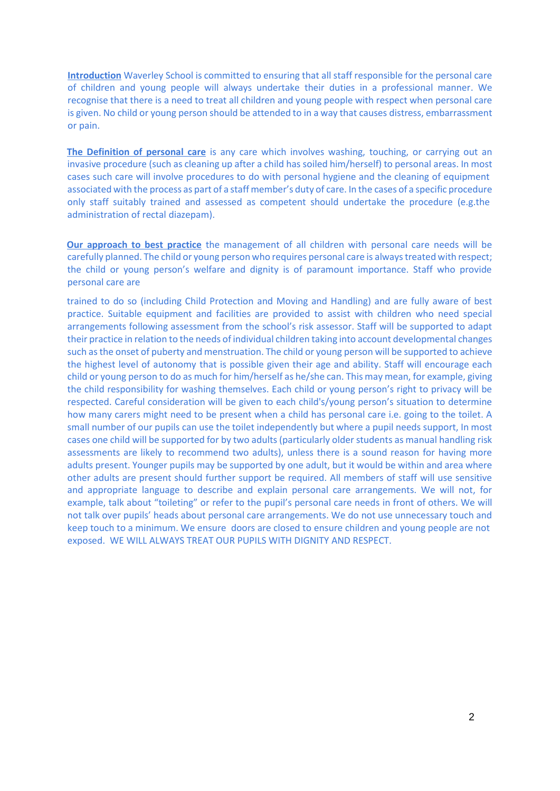**Introduction** Waverley School is committed to ensuring that all staff responsible for the personal care of children and young people will always undertake their duties in a professional manner. We recognise that there is a need to treat all children and young people with respect when personal care is given. No child or young person should be attended to in a way that causes distress, embarrassment or pain.

**The Definition of personal care** is any care which involves washing, touching, or carrying out an invasive procedure (such as cleaning up after a child has soiled him/herself) to personal areas. In most cases such care will involve procedures to do with personal hygiene and the cleaning of equipment associated with the process as part of a staff member's duty of care. In the cases of a specific procedure only staff suitably trained and assessed as competent should undertake the procedure (e.g.the administration of rectal diazepam).

**Our approach to best practice** the management of all children with personal care needs will be carefully planned. The child or young person who requires personal care is always treated with respect; the child or young person's welfare and dignity is of paramount importance. Staff who provide personal care are

trained to do so (including Child Protection and Moving and Handling) and are fully aware of best practice. Suitable equipment and facilities are provided to assist with children who need special arrangements following assessment from the school's risk assessor. Staff will be supported to adapt their practice in relation to the needs of individual children taking into account developmental changes such as the onset of puberty and menstruation. The child or young person will be supported to achieve the highest level of autonomy that is possible given their age and ability. Staff will encourage each child or young person to do as much for him/herself as he/she can. This may mean, for example, giving the child responsibility for washing themselves. Each child or young person's right to privacy will be respected. Careful consideration will be given to each child's/young person's situation to determine how many carers might need to be present when a child has personal care i.e. going to the toilet. A small number of our pupils can use the toilet independently but where a pupil needs support, In most cases one child will be supported for by two adults (particularly older students as manual handling risk assessments are likely to recommend two adults), unless there is a sound reason for having more adults present. Younger pupils may be supported by one adult, but it would be within and area where other adults are present should further support be required. All members of staff will use sensitive and appropriate language to describe and explain personal care arrangements. We will not, for example, talk about "toileting" or refer to the pupil's personal care needs in front of others. We will not talk over pupils' heads about personal care arrangements. We do not use unnecessary touch and keep touch to a minimum. We ensure doors are closed to ensure children and young people are not exposed. WE WILL ALWAYS TREAT OUR PUPILS WITH DIGNITY AND RESPECT.